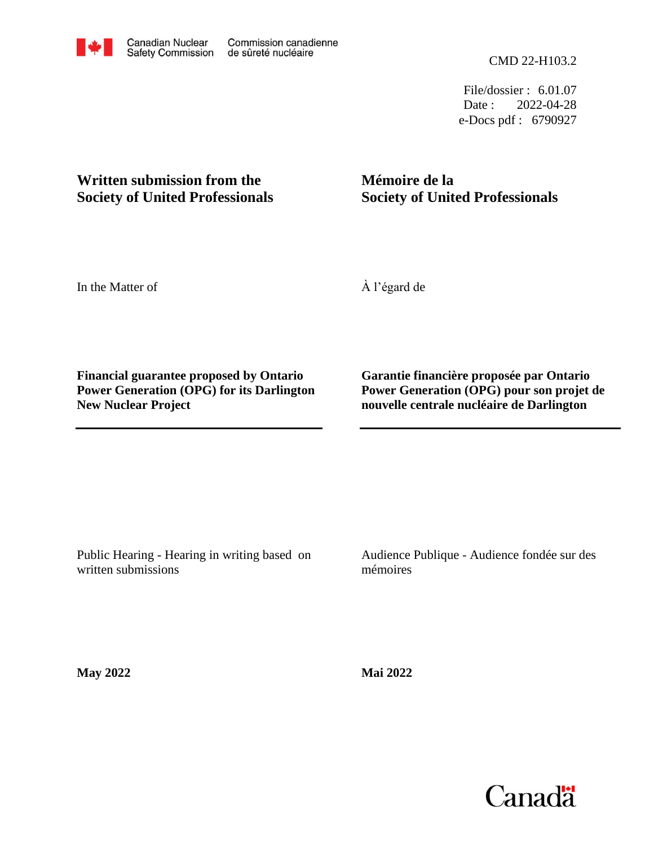File/dossier : 6.01.07 Date : 2022-04-28 e-Docs pdf : 6790927

# **Written submission from the Society of United Professionals**

# **Mémoire de la Society of United Professionals**

In the Matter of

À l'égard de

**Financial guarantee proposed by Ontario Power Generation (OPG) for its Darlington New Nuclear Project**

**Garantie financière proposée par Ontario Power Generation (OPG) pour son projet de nouvelle centrale nucléaire de Darlington**

Public Hearing - Hearing in writing based on written submissions

Audience Publique - Audience fondée sur des mémoires

**May 2022**

**Mai 2022**

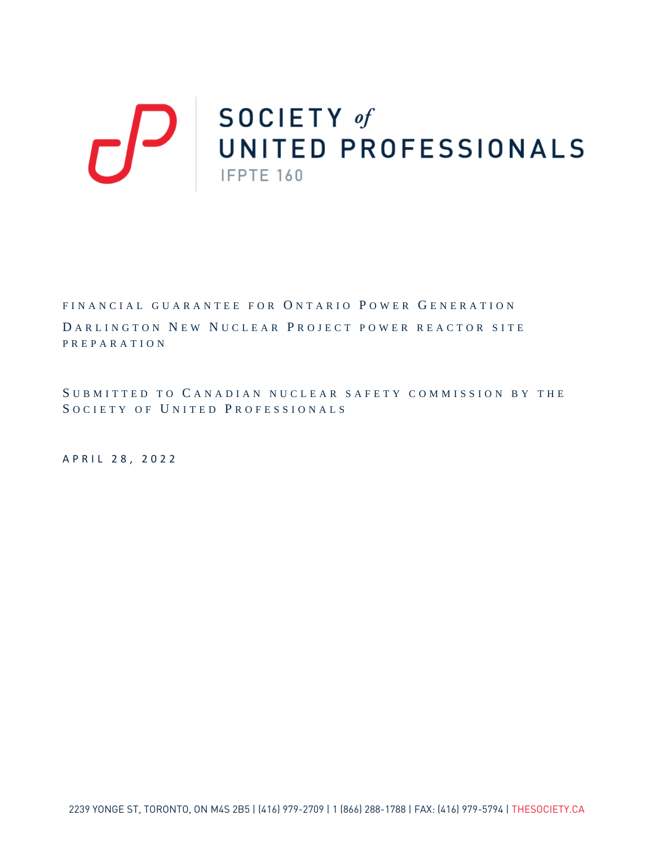# SOCIETY of<br>UNITED PROFESSIONALS IFPTE 160

FINANCIAL GUARANTEE FOR ONTARIO POWER GENERATION DARLINGTON NEW NUCLEAR PROJECT POWER REACTOR SITE PREPARATION

S UBMITTED TO C ANADIAN NUCLEAR SAFETY COMMISSION BY THE SOCIETY OF UNITED PROFESSIONALS

APRIL 28 , 2022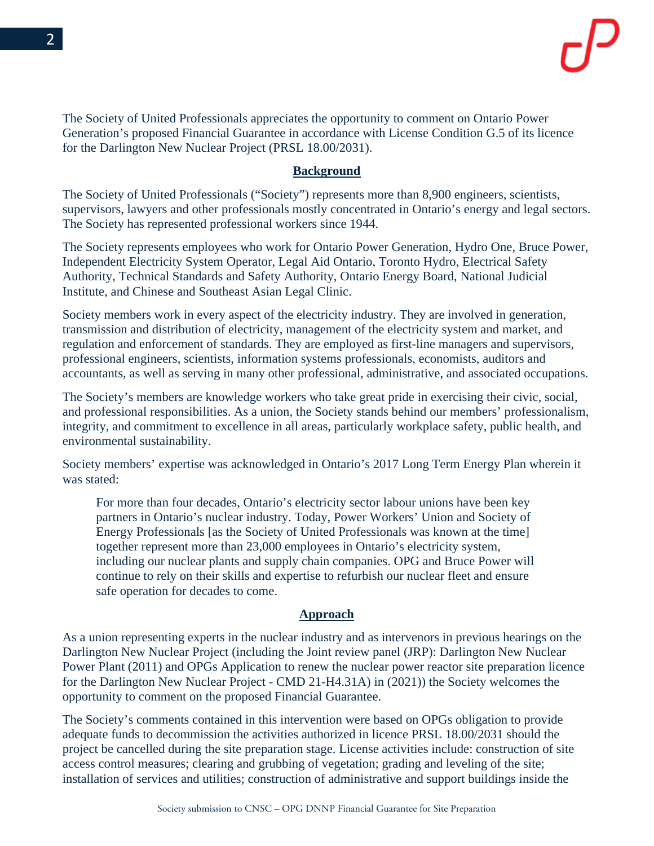The Society of United Professionals appreciates the opportunity to comment on Ontario Power Generation's proposed Financial Guarantee in accordance with License Condition G.5 of its licence for the Darlington New Nuclear Project (PRSL 18.00/2031).

### **Background**

The Society of United Professionals ("Society") represents more than 8,900 engineers, scientists, supervisors, lawyers and other professionals mostly concentrated in Ontario's energy and legal sectors. The Society has represented professional workers since 1944.

The Society represents employees who work for Ontario Power Generation, Hydro One, Bruce Power, Independent Electricity System Operator, Legal Aid Ontario, Toronto Hydro, Electrical Safety Authority, Technical Standards and Safety Authority, Ontario Energy Board, National Judicial Institute, and Chinese and Southeast Asian Legal Clinic.

Society members work in every aspect of the electricity industry. They are involved in generation, transmission and distribution of electricity, management of the electricity system and market, and regulation and enforcement of standards. They are employed as first-line managers and supervisors, professional engineers, scientists, information systems professionals, economists, auditors and accountants, as well as serving in many other professional, administrative, and associated occupations.

The Society's members are knowledge workers who take great pride in exercising their civic, social, and professional responsibilities. As a union, the Society stands behind our members' professionalism, integrity, and commitment to excellence in all areas, particularly workplace safety, public health, and environmental sustainability.

Society members' expertise was acknowledged in Ontario's 2017 Long Term Energy Plan wherein it was stated:

For more than four decades, Ontario's electricity sector labour unions have been key partners in Ontario's nuclear industry. Today, Power Workers' Union and Society of Energy Professionals [as the Society of United Professionals was known at the time] together represent more than 23,000 employees in Ontario's electricity system, including our nuclear plants and supply chain companies. OPG and Bruce Power will continue to rely on their skills and expertise to refurbish our nuclear fleet and ensure safe operation for decades to come.

#### **Approach**

As a union representing experts in the nuclear industry and as intervenors in previous hearings on the Darlington New Nuclear Project (including the Joint review panel (JRP): Darlington New Nuclear Power Plant (2011) and OPGs Application to renew the nuclear power reactor site preparation licence for the Darlington New Nuclear Project - CMD 21-H4.31A) in (2021)) the Society welcomes the opportunity to comment on the proposed Financial Guarantee.

The Society's comments contained in this intervention were based on OPGs obligation to provide adequate funds to decommission the activities authorized in licence PRSL 18.00/2031 should the project be cancelled during the site preparation stage. License activities include: construction of site access control measures; clearing and grubbing of vegetation; grading and leveling of the site; installation of services and utilities; construction of administrative and support buildings inside the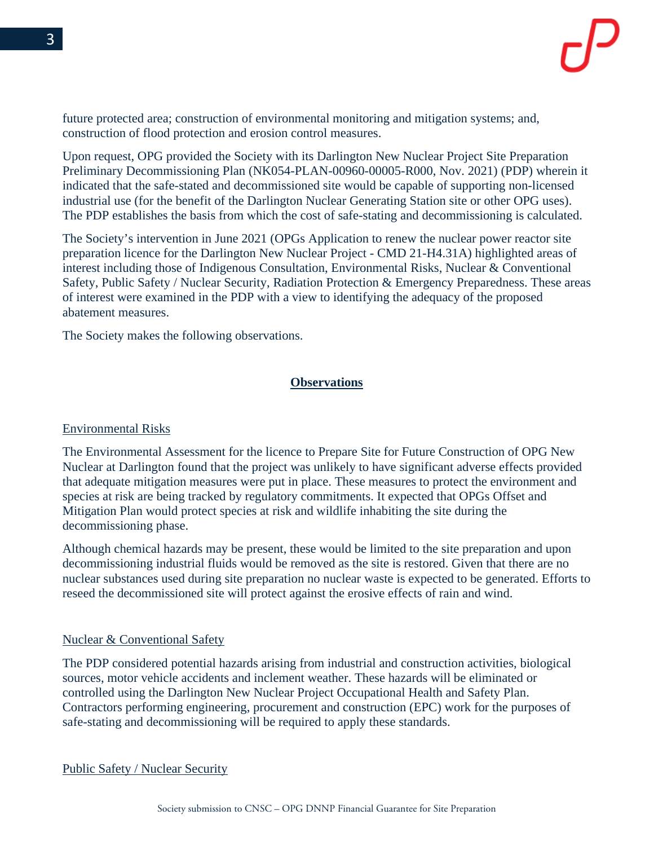future protected area; construction of environmental monitoring and mitigation systems; and, construction of flood protection and erosion control measures.

Upon request, OPG provided the Society with its Darlington New Nuclear Project Site Preparation Preliminary Decommissioning Plan (NK054-PLAN-00960-00005-R000, Nov. 2021) (PDP) wherein it indicated that the safe-stated and decommissioned site would be capable of supporting non-licensed industrial use (for the benefit of the Darlington Nuclear Generating Station site or other OPG uses). The PDP establishes the basis from which the cost of safe-stating and decommissioning is calculated.

The Society's intervention in June 2021 (OPGs Application to renew the nuclear power reactor site preparation licence for the Darlington New Nuclear Project - CMD 21-H4.31A) highlighted areas of interest including those of Indigenous Consultation, Environmental Risks, Nuclear & Conventional Safety, Public Safety / Nuclear Security, Radiation Protection & Emergency Preparedness. These areas of interest were examined in the PDP with a view to identifying the adequacy of the proposed abatement measures.

The Society makes the following observations.

# **Observations**

#### Environmental Risks

The Environmental Assessment for the licence to Prepare Site for Future Construction of OPG New Nuclear at Darlington found that the project was unlikely to have significant adverse effects provided that adequate mitigation measures were put in place. These measures to protect the environment and species at risk are being tracked by regulatory commitments. It expected that OPGs Offset and Mitigation Plan would protect species at risk and wildlife inhabiting the site during the decommissioning phase.

Although chemical hazards may be present, these would be limited to the site preparation and upon decommissioning industrial fluids would be removed as the site is restored. Given that there are no nuclear substances used during site preparation no nuclear waste is expected to be generated. Efforts to reseed the decommissioned site will protect against the erosive effects of rain and wind.

#### Nuclear & Conventional Safety

The PDP considered potential hazards arising from industrial and construction activities, biological sources, motor vehicle accidents and inclement weather. These hazards will be eliminated or controlled using the Darlington New Nuclear Project Occupational Health and Safety Plan. Contractors performing engineering, procurement and construction (EPC) work for the purposes of safe-stating and decommissioning will be required to apply these standards.

Public Safety / Nuclear Security